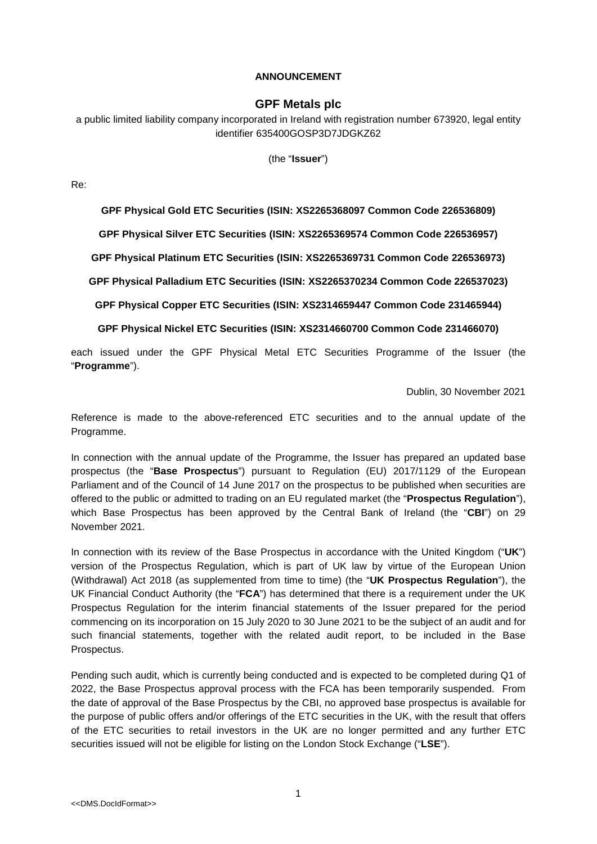## **ANNOUNCEMENT**

## **GPF Metals plc**

a public limited liability company incorporated in Ireland with registration number 673920, legal entity identifier 635400GOSP3D7JDGKZ62

(the "**Issuer**")

Re:

**GPF Physical Gold ETC Securities (ISIN: XS2265368097 Common Code 226536809)** 

**GPF Physical Silver ETC Securities (ISIN: XS2265369574 Common Code 226536957)** 

**GPF Physical Platinum ETC Securities (ISIN: XS2265369731 Common Code 226536973)** 

**GPF Physical Palladium ETC Securities (ISIN: XS2265370234 Common Code 226537023)** 

**GPF Physical Copper ETC Securities (ISIN: XS2314659447 Common Code 231465944)** 

**GPF Physical Nickel ETC Securities (ISIN: XS2314660700 Common Code 231466070)** 

each issued under the GPF Physical Metal ETC Securities Programme of the Issuer (the "**Programme**").

Dublin, 30 November 2021

Reference is made to the above-referenced ETC securities and to the annual update of the Programme.

In connection with the annual update of the Programme, the Issuer has prepared an updated base prospectus (the "**Base Prospectus**") pursuant to Regulation (EU) 2017/1129 of the European Parliament and of the Council of 14 June 2017 on the prospectus to be published when securities are offered to the public or admitted to trading on an EU regulated market (the "**Prospectus Regulation**"), which Base Prospectus has been approved by the Central Bank of Ireland (the "**CBI**") on 29 November 2021.

In connection with its review of the Base Prospectus in accordance with the United Kingdom ("**UK**") version of the Prospectus Regulation, which is part of UK law by virtue of the European Union (Withdrawal) Act 2018 (as supplemented from time to time) (the "**UK Prospectus Regulation**"), the UK Financial Conduct Authority (the "**FCA**") has determined that there is a requirement under the UK Prospectus Regulation for the interim financial statements of the Issuer prepared for the period commencing on its incorporation on 15 July 2020 to 30 June 2021 to be the subject of an audit and for such financial statements, together with the related audit report, to be included in the Base Prospectus.

Pending such audit, which is currently being conducted and is expected to be completed during Q1 of 2022, the Base Prospectus approval process with the FCA has been temporarily suspended. From the date of approval of the Base Prospectus by the CBI, no approved base prospectus is available for the purpose of public offers and/or offerings of the ETC securities in the UK, with the result that offers of the ETC securities to retail investors in the UK are no longer permitted and any further ETC securities issued will not be eligible for listing on the London Stock Exchange ("**LSE**").